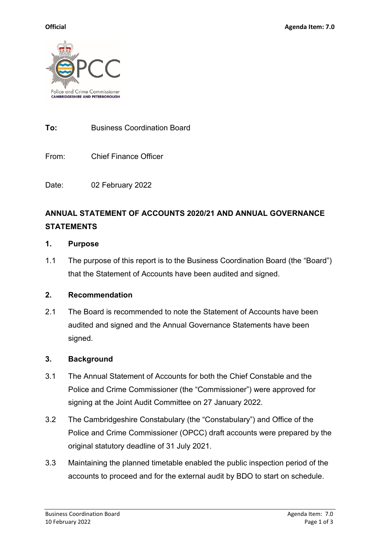

**To:** Business Coordination Board

From: Chief Finance Officer

Date: 02 February 2022

# **ANNUAL STATEMENT OF ACCOUNTS 2020/21 AND ANNUAL GOVERNANCE STATEMENTS**

#### **1. Purpose**

1.1 The purpose of this report is to the Business Coordination Board (the "Board") that the Statement of Accounts have been audited and signed.

### **2. Recommendation**

2.1 The Board is recommended to note the Statement of Accounts have been audited and signed and the Annual Governance Statements have been signed.

### **3. Background**

- 3.1 The Annual Statement of Accounts for both the Chief Constable and the Police and Crime Commissioner (the "Commissioner") were approved for signing at the Joint Audit Committee on 27 January 2022.
- 3.2 The Cambridgeshire Constabulary (the "Constabulary") and Office of the Police and Crime Commissioner (OPCC) draft accounts were prepared by the original statutory deadline of 31 July 2021.
- 3.3 Maintaining the planned timetable enabled the public inspection period of the accounts to proceed and for the external audit by BDO to start on schedule.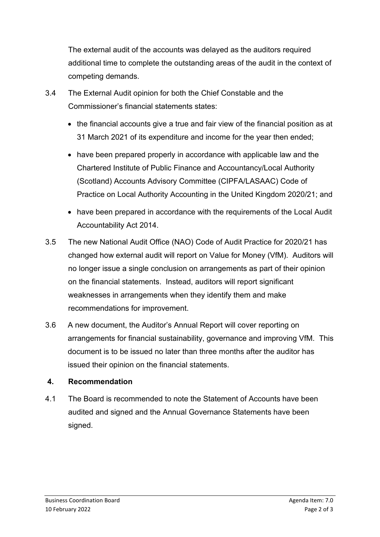The external audit of the accounts was delayed as the auditors required additional time to complete the outstanding areas of the audit in the context of competing demands.

- 3.4 The External Audit opinion for both the Chief Constable and the Commissioner's financial statements states:
	- the financial accounts give a true and fair view of the financial position as at 31 March 2021 of its expenditure and income for the year then ended;
	- have been prepared properly in accordance with applicable law and the Chartered Institute of Public Finance and Accountancy/Local Authority (Scotland) Accounts Advisory Committee (CIPFA/LASAAC) Code of Practice on Local Authority Accounting in the United Kingdom 2020/21; and
	- have been prepared in accordance with the requirements of the Local Audit Accountability Act 2014.
- 3.5 The new National Audit Office (NAO) Code of Audit Practice for 2020/21 has changed how external audit will report on Value for Money (VfM). Auditors will no longer issue a single conclusion on arrangements as part of their opinion on the financial statements. Instead, auditors will report significant weaknesses in arrangements when they identify them and make recommendations for improvement.
- 3.6 A new document, the Auditor's Annual Report will cover reporting on arrangements for financial sustainability, governance and improving VfM. This document is to be issued no later than three months after the auditor has issued their opinion on the financial statements.

### **4. Recommendation**

4.1 The Board is recommended to note the Statement of Accounts have been audited and signed and the Annual Governance Statements have been signed.